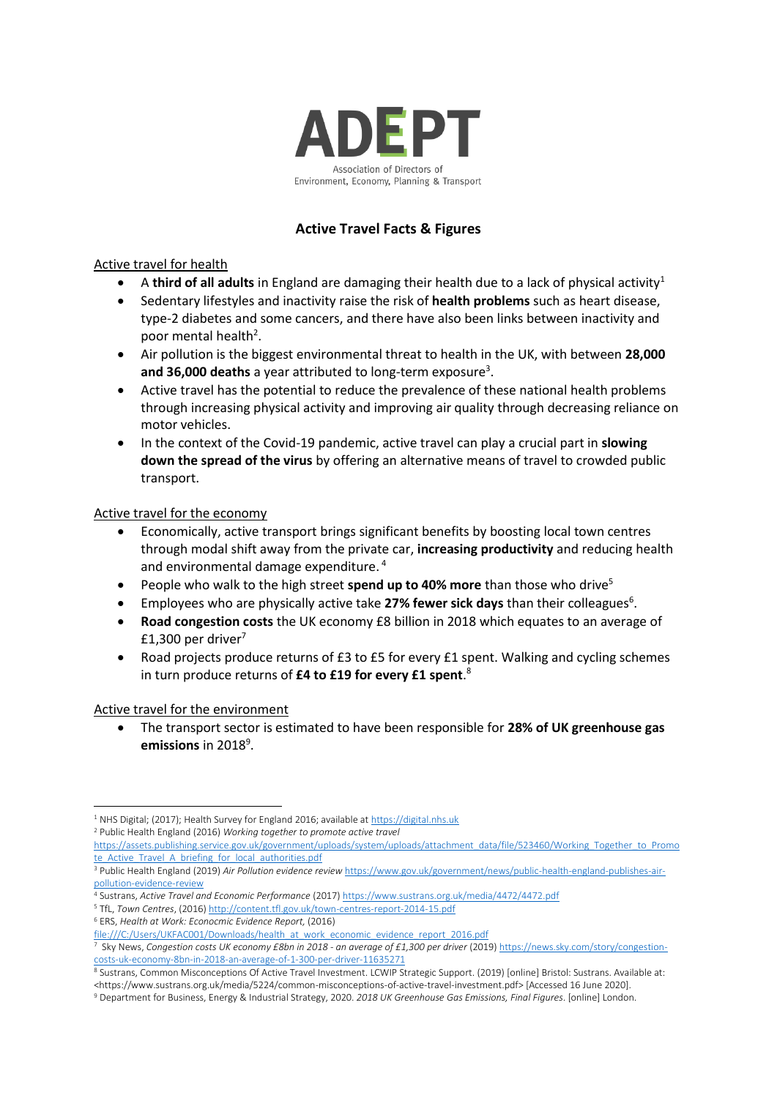

# **Active Travel Facts & Figures**

### Active travel for health

- A **third of all adults** in England are damaging their health due to a lack of physical activity<sup>1</sup>
- Sedentary lifestyles and inactivity raise the risk of **health problems** such as heart disease, type-2 diabetes and some cancers, and there have also been links between inactivity and poor mental health<sup>2</sup>.
- Air pollution is the biggest environmental threat to health in the UK, with between **28,000**  and 36,000 deaths a year attributed to long-term exposure<sup>3</sup>.
- Active travel has the potential to reduce the prevalence of these national health problems through increasing physical activity and improving air quality through decreasing reliance on motor vehicles.
- In the context of the Covid-19 pandemic, active travel can play a crucial part in **slowing down the spread of the virus** by offering an alternative means of travel to crowded public transport.

### Active travel for the economy

- Economically, active transport brings significant benefits by boosting local town centres through modal shift away from the private car, **increasing productivity** and reducing health and environmental damage expenditure. <sup>4</sup>
- People who walk to the high street **spend up to 40% more** than those who drive<sup>5</sup>
- Employees who are physically active take 27% fewer sick days than their colleagues<sup>6</sup>.
- **Road congestion costs** the UK economy £8 billion in 2018 which equates to an average of £1,300 per driver $7$
- Road projects produce returns of £3 to £5 for every £1 spent. Walking and cycling schemes in turn produce returns of **£4 to £19 for every £1 spent**. 8

### Active travel for the environment

• The transport sector is estimated to have been responsible for **28% of UK greenhouse gas**  emissions in 2018<sup>9</sup>.

<sup>2</sup> Public Health England (2016) *Working together to promote active travel*

<sup>4</sup> Sustrans, *Active Travel and Economic Performance* (2017[\) https://www.sustrans.org.uk/media/4472/4472.pdf](https://www.sustrans.org.uk/media/4472/4472.pdf) <sup>5</sup> TfL, *Town Centres*, (2016[\) http://content.tfl.gov.uk/town-centres-report-2014-15.pdf](http://content.tfl.gov.uk/town-centres-report-2014-15.pdf)

<sup>&</sup>lt;sup>1</sup> NHS Digital; (2017); Health Survey for England 2016; available a[t https://digital.nhs.uk](https://digital.nhs.uk/)

[https://assets.publishing.service.gov.uk/government/uploads/system/uploads/attachment\\_data/file/523460/Working\\_Together\\_to\\_Promo](https://assets.publishing.service.gov.uk/government/uploads/system/uploads/attachment_data/file/523460/Working_Together_to_Promote_Active_Travel_A_briefing_for_local_authorities.pdf) [te\\_Active\\_Travel\\_A\\_briefing\\_for\\_local\\_authorities.pdf](https://assets.publishing.service.gov.uk/government/uploads/system/uploads/attachment_data/file/523460/Working_Together_to_Promote_Active_Travel_A_briefing_for_local_authorities.pdf)

<sup>3</sup> Public Health England (2019) *Air Pollution evidence review* [https://www.gov.uk/government/news/public-health-england-publishes-air](https://www.gov.uk/government/news/public-health-england-publishes-air-pollution-evidence-review)[pollution-evidence-review](https://www.gov.uk/government/news/public-health-england-publishes-air-pollution-evidence-review)

<sup>6</sup> ERS, *Health at Work: Econocmic Evidence Report,* (2016)

[file:///C:/Users/UKFAC001/Downloads/health\\_at\\_work\\_economic\\_evidence\\_report\\_2016.pdf](file:///C:/Users/UKFAC001/Downloads/health_at_work_economic_evidence_report_2016.pdf)

<sup>&</sup>lt;sup>7</sup> Sky News, Congestion costs UK economy £8bn in 2018 - an average of £1,300 per driver (2019) <u>https://news.sky.com/story/congestion-</u> [costs-uk-economy-8bn-in-2018-an-average-of-1-300-per-driver-11635271](https://news.sky.com/story/congestion-costs-uk-economy-8bn-in-2018-an-average-of-1-300-per-driver-11635271)

<sup>8</sup> Sustrans, Common Misconceptions Of Active Travel Investment. LCWIP Strategic Support. (2019) [online] Bristol: Sustrans. Available at: <https://www.sustrans.org.uk/media/5224/common-misconceptions-of-active-travel-investment.pdf> [Accessed 16 June 2020].

<sup>9</sup> Department for Business, Energy & Industrial Strategy, 2020. *2018 UK Greenhouse Gas Emissions, Final Figures*. [online] London.